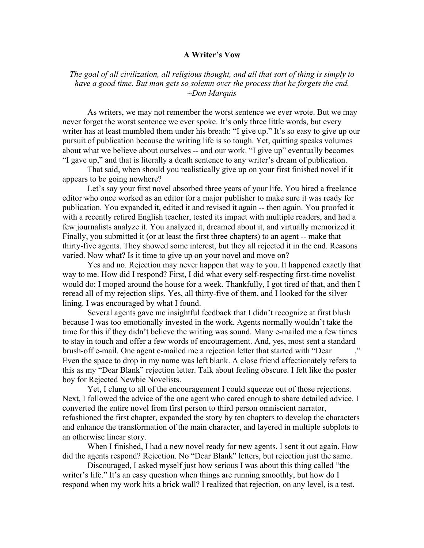## **A Writer's Vow**

*The goal of all civilization, all religious thought, and all that sort of thing is simply to have a good time. But man gets so solemn over the process that he forgets the end. ~Don Marquis*

As writers, we may not remember the worst sentence we ever wrote. But we may never forget the worst sentence we ever spoke. It's only three little words, but every writer has at least mumbled them under his breath: "I give up." It's so easy to give up our pursuit of publication because the writing life is so tough. Yet, quitting speaks volumes about what we believe about ourselves -- and our work. "I give up" eventually becomes "I gave up," and that is literally a death sentence to any writer's dream of publication.

That said, when should you realistically give up on your first finished novel if it appears to be going nowhere?

Let's say your first novel absorbed three years of your life. You hired a freelance editor who once worked as an editor for a major publisher to make sure it was ready for publication. You expanded it, edited it and revised it again -- then again. You proofed it with a recently retired English teacher, tested its impact with multiple readers, and had a few journalists analyze it. You analyzed it, dreamed about it, and virtually memorized it. Finally, you submitted it (or at least the first three chapters) to an agent -- make that thirty-five agents. They showed some interest, but they all rejected it in the end. Reasons varied. Now what? Is it time to give up on your novel and move on?

Yes and no. Rejection may never happen that way to you. It happened exactly that way to me. How did I respond? First, I did what every self-respecting first-time novelist would do: I moped around the house for a week. Thankfully, I got tired of that, and then I reread all of my rejection slips. Yes, all thirty-five of them, and I looked for the silver lining. I was encouraged by what I found.

Several agents gave me insightful feedback that I didn't recognize at first blush because I was too emotionally invested in the work. Agents normally wouldn't take the time for this if they didn't believe the writing was sound. Many e-mailed me a few times to stay in touch and offer a few words of encouragement. And, yes, most sent a standard brush-off e-mail. One agent e-mailed me a rejection letter that started with "Dear Even the space to drop in my name was left blank. A close friend affectionately refers to this as my "Dear Blank" rejection letter. Talk about feeling obscure. I felt like the poster boy for Rejected Newbie Novelists.

Yet, I clung to all of the encouragement I could squeeze out of those rejections. Next, I followed the advice of the one agent who cared enough to share detailed advice. I converted the entire novel from first person to third person omniscient narrator, refashioned the first chapter, expanded the story by ten chapters to develop the characters and enhance the transformation of the main character, and layered in multiple subplots to an otherwise linear story.

When I finished, I had a new novel ready for new agents. I sent it out again. How did the agents respond? Rejection. No "Dear Blank" letters, but rejection just the same.

Discouraged, I asked myself just how serious I was about this thing called "the writer's life." It's an easy question when things are running smoothly, but how do I respond when my work hits a brick wall? I realized that rejection, on any level, is a test.